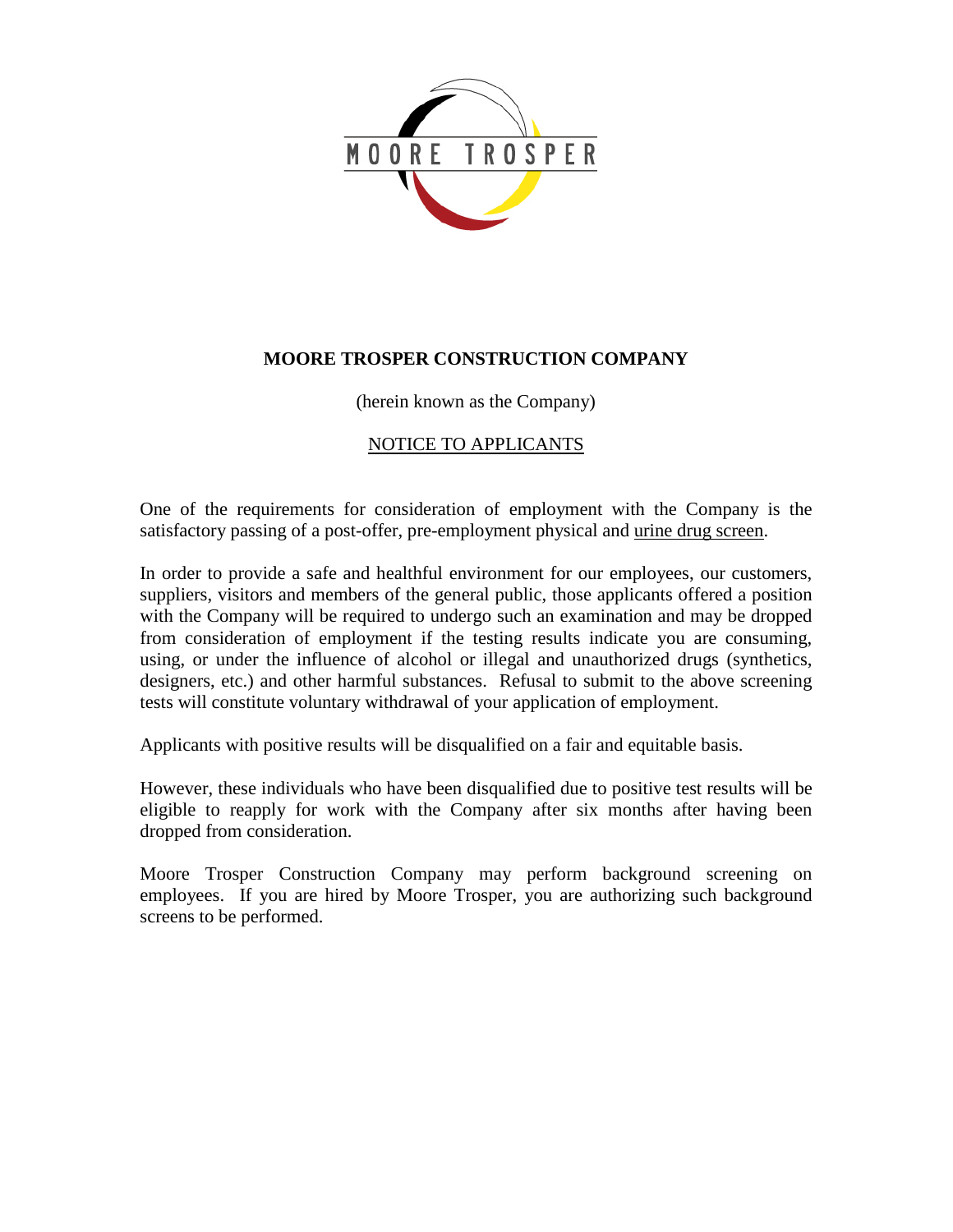

### **MOORE TROSPER CONSTRUCTION COMPANY**

(herein known as the Company)

## NOTICE TO APPLICANTS

One of the requirements for consideration of employment with the Company is the satisfactory passing of a post-offer, pre-employment physical and urine drug screen.

In order to provide a safe and healthful environment for our employees, our customers, suppliers, visitors and members of the general public, those applicants offered a position with the Company will be required to undergo such an examination and may be dropped from consideration of employment if the testing results indicate you are consuming, using, or under the influence of alcohol or illegal and unauthorized drugs (synthetics, designers, etc.) and other harmful substances. Refusal to submit to the above screening tests will constitute voluntary withdrawal of your application of employment.

Applicants with positive results will be disqualified on a fair and equitable basis.

However, these individuals who have been disqualified due to positive test results will be eligible to reapply for work with the Company after six months after having been dropped from consideration.

Moore Trosper Construction Company may perform background screening on employees. If you are hired by Moore Trosper, you are authorizing such background screens to be performed.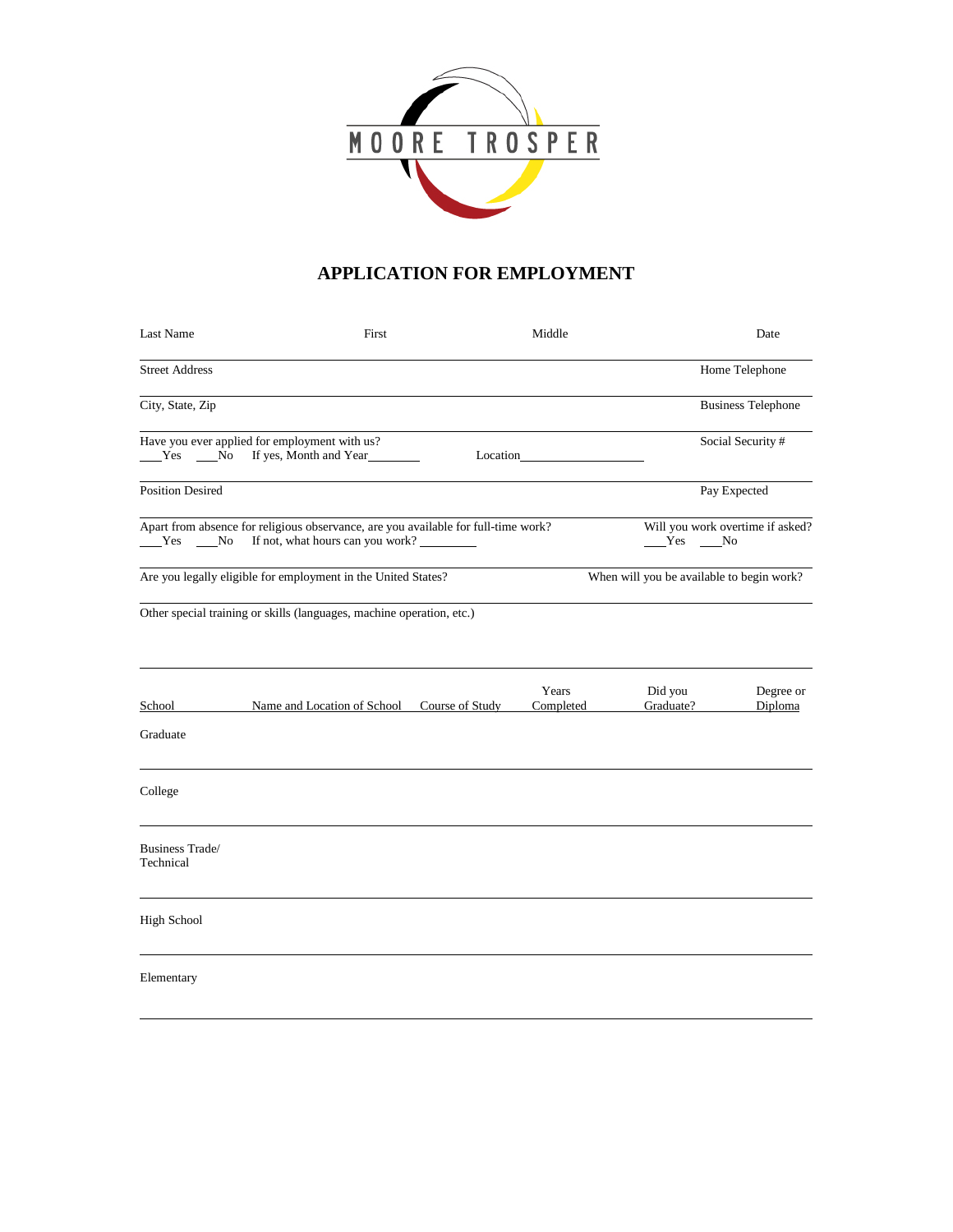

## **APPLICATION FOR EMPLOYMENT**

| Last Name                           | First                                                                                                                  | Middle             |                                           | Date                             |
|-------------------------------------|------------------------------------------------------------------------------------------------------------------------|--------------------|-------------------------------------------|----------------------------------|
| <b>Street Address</b>               |                                                                                                                        |                    |                                           | Home Telephone                   |
| City, State, Zip                    |                                                                                                                        |                    |                                           | <b>Business Telephone</b>        |
| Yes No                              | Have you ever applied for employment with us?<br>If yes, Month and Year                                                | Location           |                                           | Social Security #                |
| <b>Position Desired</b>             |                                                                                                                        |                    |                                           | Pay Expected                     |
| Yes No                              | Apart from absence for religious observance, are you available for full-time work?<br>If not, what hours can you work? |                    | Yes No                                    | Will you work overtime if asked? |
|                                     | Are you legally eligible for employment in the United States?                                                          |                    | When will you be available to begin work? |                                  |
|                                     | Other special training or skills (languages, machine operation, etc.)                                                  |                    |                                           |                                  |
| School<br>Graduate                  | Name and Location of School Course of Study                                                                            | Years<br>Completed | Did you<br>Graduate?                      | Degree or<br>Diploma             |
| College                             |                                                                                                                        |                    |                                           |                                  |
| <b>Business Trade/</b><br>Technical |                                                                                                                        |                    |                                           |                                  |
| <b>High School</b>                  |                                                                                                                        |                    |                                           |                                  |
| Elementary                          |                                                                                                                        |                    |                                           |                                  |
|                                     |                                                                                                                        |                    |                                           |                                  |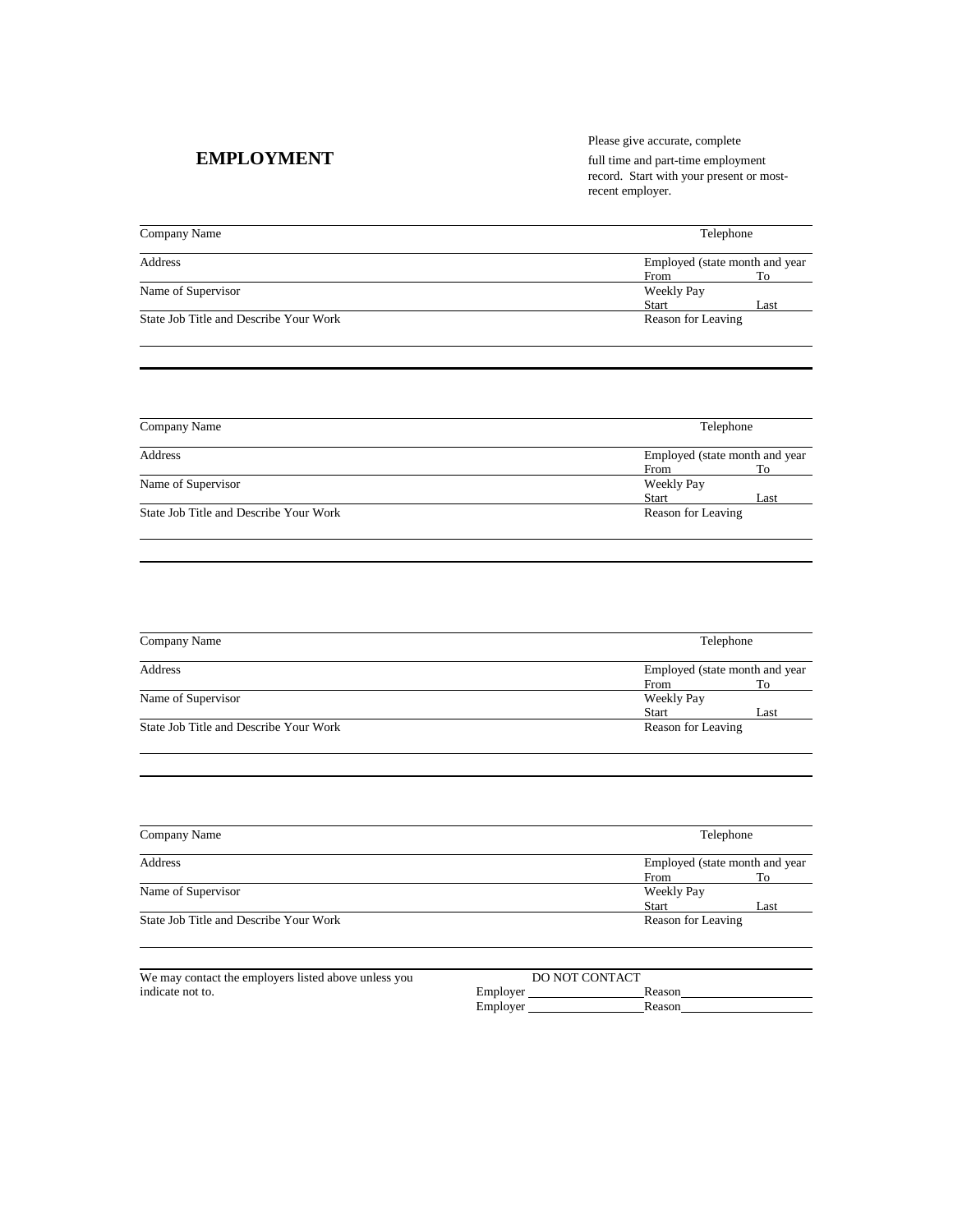Please give accurate, complete **EMPLOYMENT** full time and part-time employment record. Start with your present or mostrecent employer.

| Company Name                           | Telephone                      |                    |  |
|----------------------------------------|--------------------------------|--------------------|--|
| Address                                | Employed (state month and year |                    |  |
|                                        | From                           | To                 |  |
| Name of Supervisor                     | Weekly Pay                     |                    |  |
|                                        | <b>Start</b>                   | Last               |  |
| State Job Title and Describe Your Work |                                | Reason for Leaving |  |
|                                        |                                |                    |  |
|                                        |                                |                    |  |

| Company Name                           | Telephone<br>Employed (state month and year |                    |  |  |
|----------------------------------------|---------------------------------------------|--------------------|--|--|
| Address                                |                                             |                    |  |  |
|                                        | From                                        | To                 |  |  |
| Name of Supervisor                     | Weekly Pay                                  |                    |  |  |
|                                        | <b>Start</b>                                | Last               |  |  |
| State Job Title and Describe Your Work |                                             | Reason for Leaving |  |  |

| Company Name                           | Telephone          |                                |  |  |
|----------------------------------------|--------------------|--------------------------------|--|--|
| Address                                |                    | Employed (state month and year |  |  |
|                                        | From               | To                             |  |  |
| Name of Supervisor                     | Weekly Pay         |                                |  |  |
|                                        | <b>Start</b>       | Last                           |  |  |
| State Job Title and Describe Your Work | Reason for Leaving |                                |  |  |

| Company Name                           | Telephone                      |                    |  |  |
|----------------------------------------|--------------------------------|--------------------|--|--|
| Address                                | Employed (state month and year |                    |  |  |
|                                        | From                           | To                 |  |  |
| Name of Supervisor                     | Weekly Pay                     |                    |  |  |
|                                        | <b>Start</b>                   | Last               |  |  |
| State Job Title and Describe Your Work |                                | Reason for Leaving |  |  |

| We may contact the employers listed above unless you |          | DO NOT CONTACT |  |
|------------------------------------------------------|----------|----------------|--|
| indicate not to.                                     | Employer | Reason         |  |
|                                                      | Employer | Reason         |  |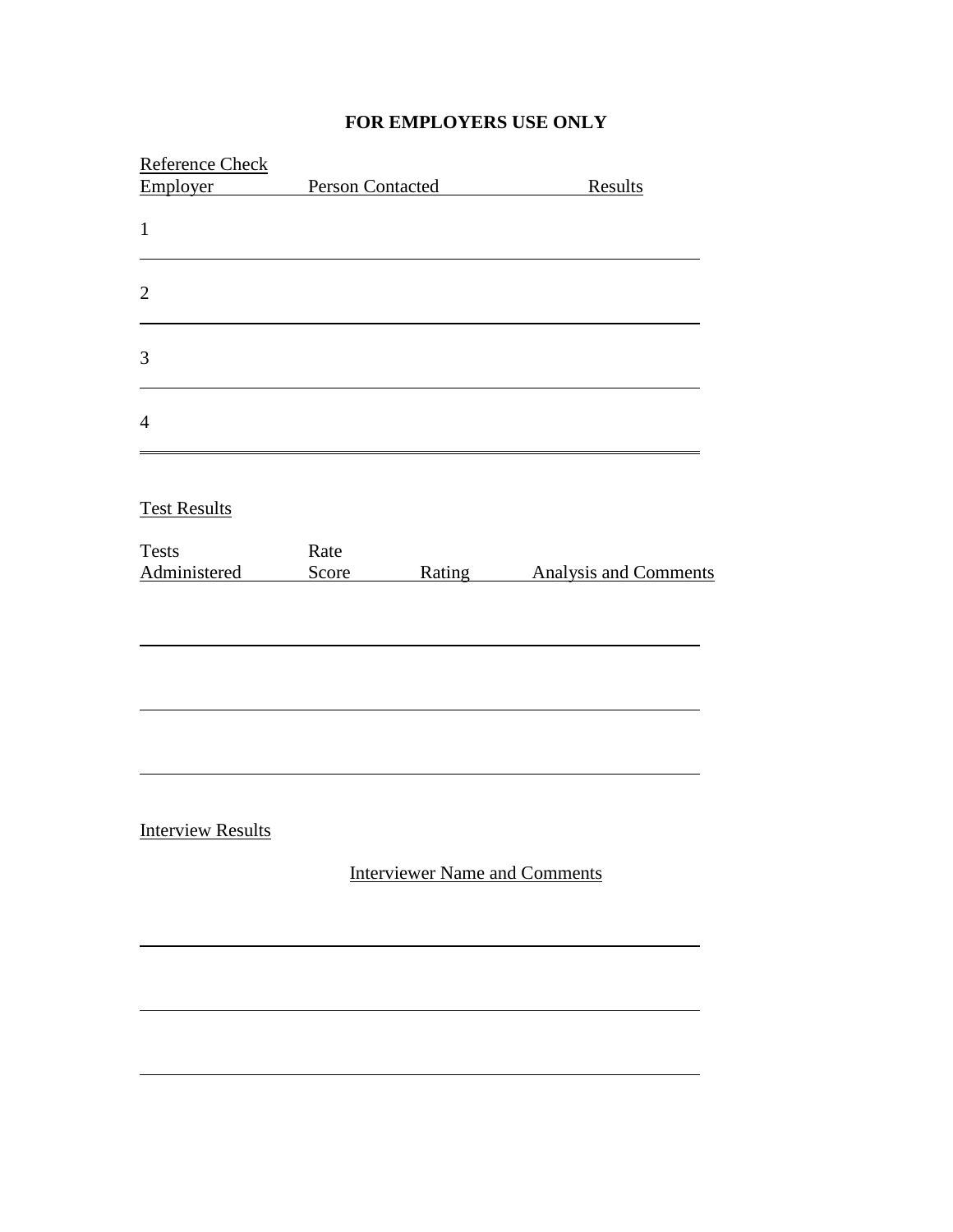# **FOR EMPLOYERS USE ONLY**

| Reference Check          |                                      |                              |
|--------------------------|--------------------------------------|------------------------------|
| Employer                 | Person Contacted                     | Results                      |
| $\mathbf{1}$             |                                      |                              |
| $\overline{2}$           |                                      |                              |
| 3                        |                                      |                              |
| $\overline{4}$           |                                      |                              |
| <b>Test Results</b>      |                                      |                              |
| <b>Tests</b>             | Rate                                 |                              |
| Administered             | Rating<br>Score                      | <b>Analysis and Comments</b> |
|                          |                                      |                              |
| <b>Interview Results</b> |                                      |                              |
|                          | <b>Interviewer Name and Comments</b> |                              |
|                          |                                      |                              |